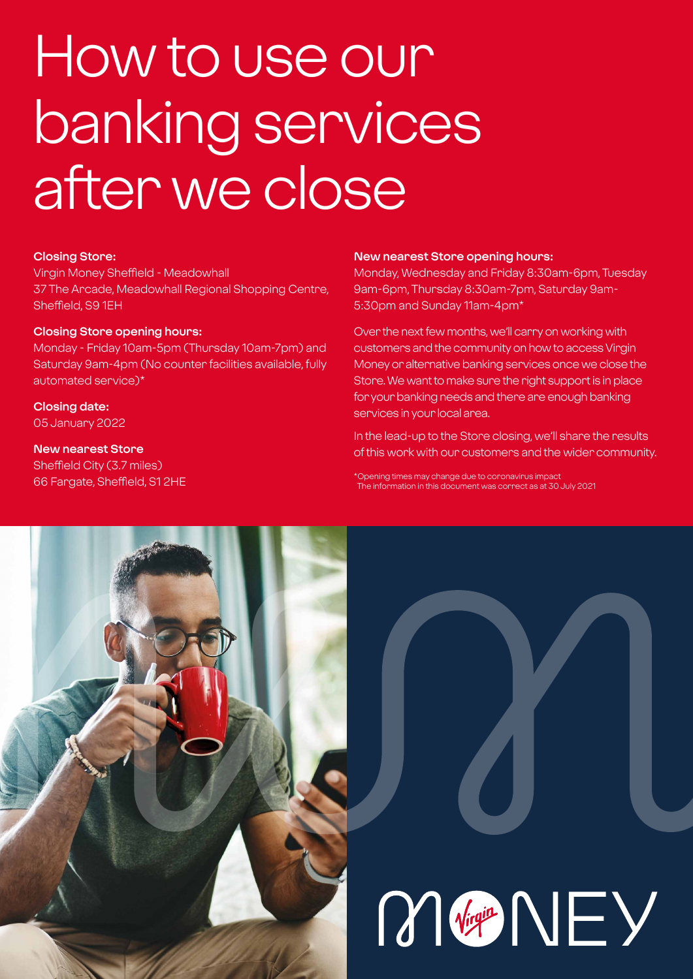# How to use our banking services after we close

#### **Closing Store:**

Virgin Money Sheffield - Meadowhall 37 The Arcade, Meadowhall Regional Shopping Centre, Sheffield, S9 1EH

#### **Closing Store opening hours:**

Monday - Friday 10am-5pm (Thursday 10am-7pm) and Saturday 9am-4pm (No counter facilities available, fully automated service)\*

#### **Closing date:**

05 January 2022

#### **New nearest Store**

Sheffield City (3.7 miles) 66 Fargate, Sheffield, S1 2HE

#### **New nearest Store opening hours:**

Monday, Wednesday and Friday 8:30am-6pm, Tuesday 9am-6pm, Thursday 8:30am-7pm, Saturday 9am-5:30pm and Sunday 11am-4pm\*

Over the next few months, we'll carry on working with customers and the community on how to access Virgin Money or alternative banking services once we close the Store. We want to make sure the right support is in place for your banking needs and there are enough banking services in your local area.

In the lead-up to the Store closing, we'll share the results of this work with our customers and the wider community.

Opening times may change due to coronavirus impa The information in this document was correct as at 30 July 2021

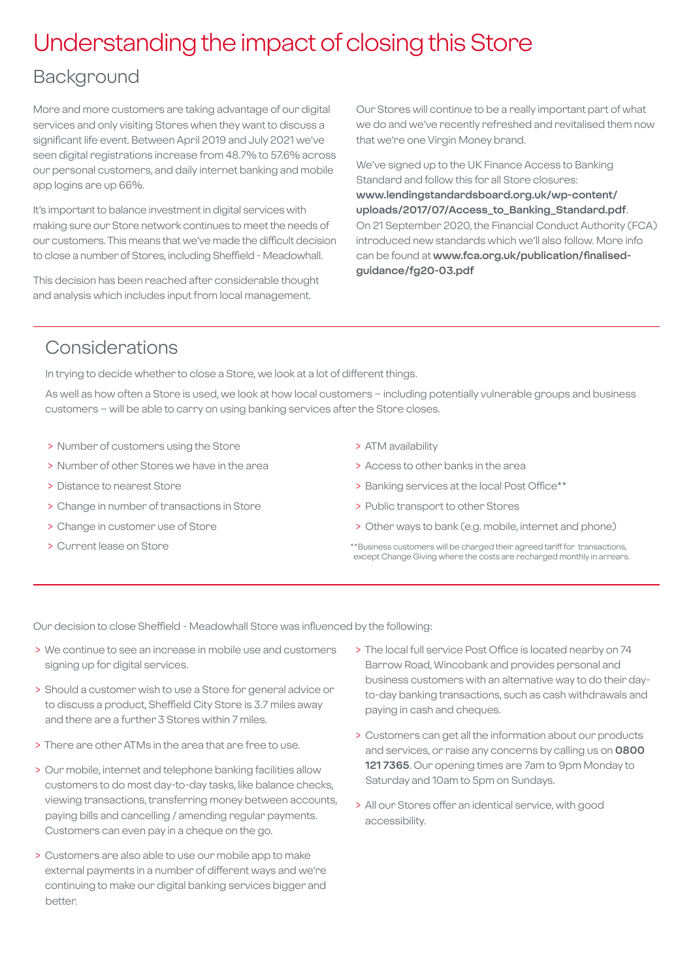### Understanding the impact of closing this Store

### Background

More and more customers are taking advantage of our digital services and only visiting Stores when they want to discuss a significant life event. Between April 2019 and July 2021 we've seen digital registrations increase from 48.7% to 57.6% across our personal customers, and daily internet banking and mobile app logins are up 66%.

It's important to balance investment in digital services with making sure our Store network continues to meet the needs of our customers. This means that we've made the difficult decision to close a number of Stores, including Sheffield - Meadowhall.

This decision has been reached after considerable thought and analysis which includes input from local management.

Our Stores will continue to be a really important part of what we do and we've recently refreshed and revitalised them now that we're one Virgin Money brand.

We've signed up to the UK Finance Access to Banking Standard and follow this for all Store closures: **[www.lendingstandardsboard.org.uk/wp-content/](http://www.lendingstandardsboard.org.uk/wp-content/uploads/2017/07/Access_to_Banking_Standard.pdf) [uploads/2017/07/Access\\_to\\_Banking\\_Standard.pdf](http://www.lendingstandardsboard.org.uk/wp-content/uploads/2017/07/Access_to_Banking_Standard.pdf)**. On 21 September 2020, the Financial Conduct Authority (FCA) introduced new standards which we'll also follow. More info can be found at **[www.fca.org.uk/publication/finalised](http://www.fca.org.uk/publication/finalised-guidance/fg20-03.pdf)[guidance/fg20-03.pdf](http://www.fca.org.uk/publication/finalised-guidance/fg20-03.pdf)**

### Considerations

In trying to decide whether to close a Store, we look at a lot of different things.

As well as how often a Store is used, we look at how local customers – including potentially vulnerable groups and business customers – will be able to carry on using banking services after the Store closes.

- > Number of customers using the Store
- > Number of other Stores we have in the area
- > Distance to nearest Store
- > Change in number of transactions in Store
- > Change in customer use of Store
- > Current lease on Store
- > ATM availability
- > Access to other banks in the area
- > Banking services at the local Post Office\*\*
- > Public transport to other Stores
- > Other ways to bank (e.g. mobile, internet and phone)
- \*\*Business customers will be charged their agreed tariff for transactions, except Change Giving where the costs are recharged monthly in arrears.

Our decision to close Sheffield - Meadowhall Store was influenced by the following:

- > We continue to see an increase in mobile use and customers signing up for digital services.
- > Should a customer wish to use a Store for general advice or to discuss a product, Sheffield City Store is 3.7 miles away and there are a further 3 Stores within 7 miles.
- > There are other ATMs in the area that are free to use.
- > Our mobile, internet and telephone banking facilities allow customers to do most day-to-day tasks, like balance checks, viewing transactions, transferring money between accounts, paying bills and cancelling / amending regular payments. Customers can even pay in a cheque on the go.
- > Customers are also able to use our mobile app to make external payments in a number of different ways and we're continuing to make our digital banking services bigger and better.
- > The local full service Post Office is located nearby on 74 Barrow Road, Wincobank and provides personal and business customers with an alternative way to do their dayto-day banking transactions, such as cash withdrawals and paying in cash and cheques.
- > Customers can get all the information about our products and services, or raise any concerns by calling us on **0800 121 7365**. Our opening times are 7am to 9pm Monday to Saturday and 10am to 5pm on Sundays.
- > All our Stores offer an identical service, with good accessibility.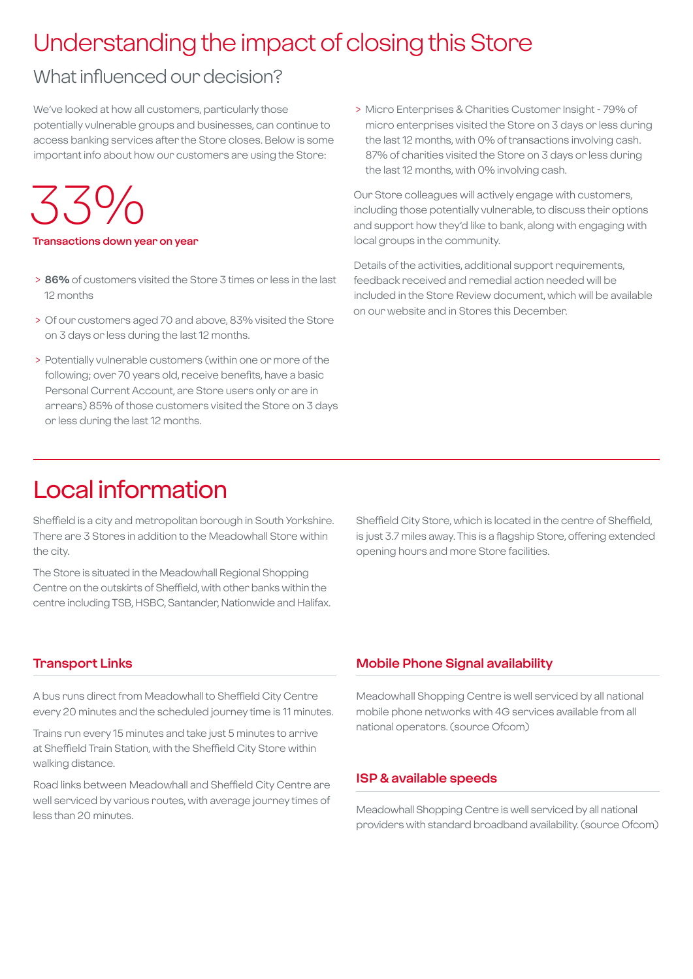### Understanding the impact of closing this Store

### What influenced our decision?

We've looked at how all customers, particularly those potentially vulnerable groups and businesses, can continue to access banking services after the Store closes. Below is some important info about how our customers are using the Store:

 $35\%$ 

**Transactions down year on year**

- > **86%** of customers visited the Store 3 times or less in the last 12 months
- > Of our customers aged 70 and above, 83% visited the Store on 3 days or less during the last 12 months.
- > Potentially vulnerable customers (within one or more of the following; over 70 years old, receive benefits, have a basic Personal Current Account, are Store users only or are in arrears) 85% of those customers visited the Store on 3 days or less during the last 12 months.

 > Micro Enterprises & Charities Customer Insight - 79% of micro enterprises visited the Store on 3 days or less during the last 12 months, with 0% of transactions involving cash. 87% of charities visited the Store on 3 days or less during the last 12 months, with 0% involving cash.

Our Store colleagues will actively engage with customers, including those potentially vulnerable, to discuss their options and support how they'd like to bank, along with engaging with local groups in the community.

Details of the activities, additional support requirements, feedback received and remedial action needed will be included in the Store Review document, which will be available on our website and in Stores this December.

### Local information

Sheffield is a city and metropolitan borough in South Yorkshire. There are 3 Stores in addition to the Meadowhall Store within the city.

The Store is situated in the Meadowhall Regional Shopping Centre on the outskirts of Sheffield, with other banks within the centre including TSB, HSBC, Santander, Nationwide and Halifax.

Sheffield City Store, which is located in the centre of Sheffield, is just 3.7 miles away. This is a flagship Store, offering extended opening hours and more Store facilities.

#### **Transport Links**

A bus runs direct from Meadowhall to Sheffield City Centre every 20 minutes and the scheduled journey time is 11 minutes.

Trains run every 15 minutes and take just 5 minutes to arrive at Sheffield Train Station, with the Sheffield City Store within walking distance.

Road links between Meadowhall and Sheffield City Centre are well serviced by various routes, with average journey times of less than 20 minutes.

### **Mobile Phone Signal availability**

Meadowhall Shopping Centre is well serviced by all national mobile phone networks with 4G services available from all national operators. (source Ofcom)

#### **ISP & available speeds**

Meadowhall Shopping Centre is well serviced by all national providers with standard broadband availability. (source Ofcom)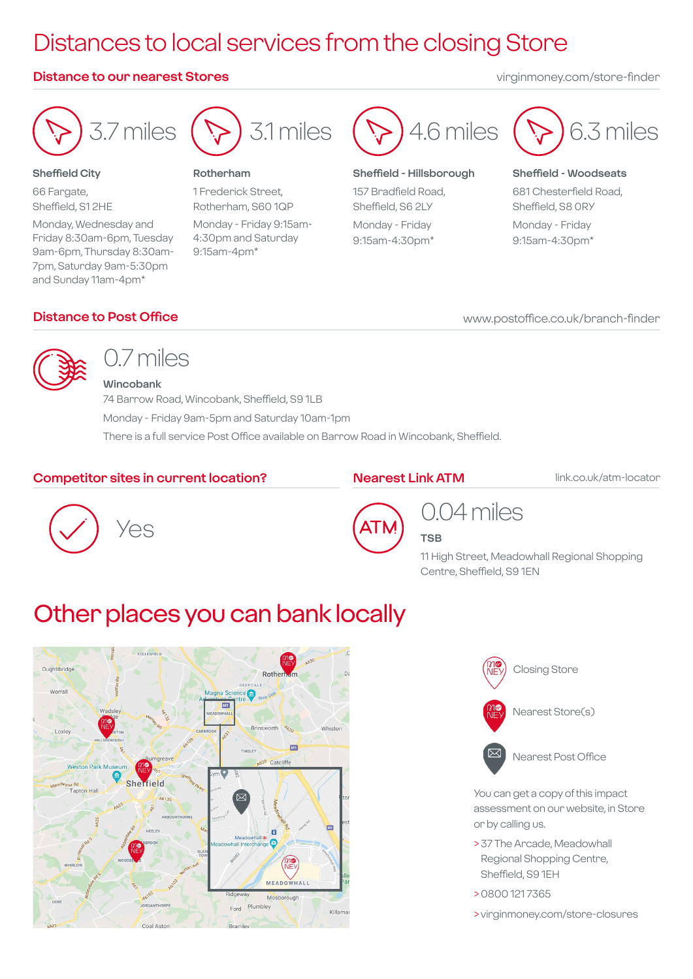## Distances to local services from the closing Store

#### **Distance to our nearest Stores** virginmoney.com/store-finder



#### **Sheffield City**

66 Fargate, Sheffield, S1 2HE Monday, Wednesday and Friday 8:30am-6pm, Tuesday 9am-6pm, Thursday 8:30am-7pm, Saturday 9am-5:30pm and Sunday 11am-4pm\*



#### **Rotherham**

1 Frederick Street, Rotherham, S60 1QP Monday - Friday 9:15am-4:30pm and Saturday 9:15am-4pm\*



#### **Sheffield - Hillsborough**

157 Bradfield Road, Sheffield, S6 2LY Monday - Friday 9:15am-4:30pm\*



#### **Sheffield - Woodseats**

681 Chesterfield Road, Sheffield, S8 0RY Monday - Friday 9:15am-4:30pm\*

#### **Distance to Post Office**

www.postoffice.co.uk/branch-finder



### 0.7 miles **Wincobank**

74 Barrow Road, Wincobank, Sheffield, S9 1LB Monday - Friday 9am-5pm and Saturday 10am-1pm There is a full service Post Office available on Barrow Road in Wincobank, Sheffield.

#### **Competitor sites in current location?**

#### **Nearest Link ATM**

link.co.uk/atm-locator





### 0.04 miles **TSB**

11 High Street, Meadowhall Regional Shopping Centre, Sheffield, S9 1EN

### Other places you can bank locally





You can get a copy of this impact assessment on our website, in Store or by calling us.

- > 37 The Arcade, Meadowhall Regional Shopping Centre, Sheffield, S9 1EH
- > 0800 121 7365
- > virginmoney.com/store-closures